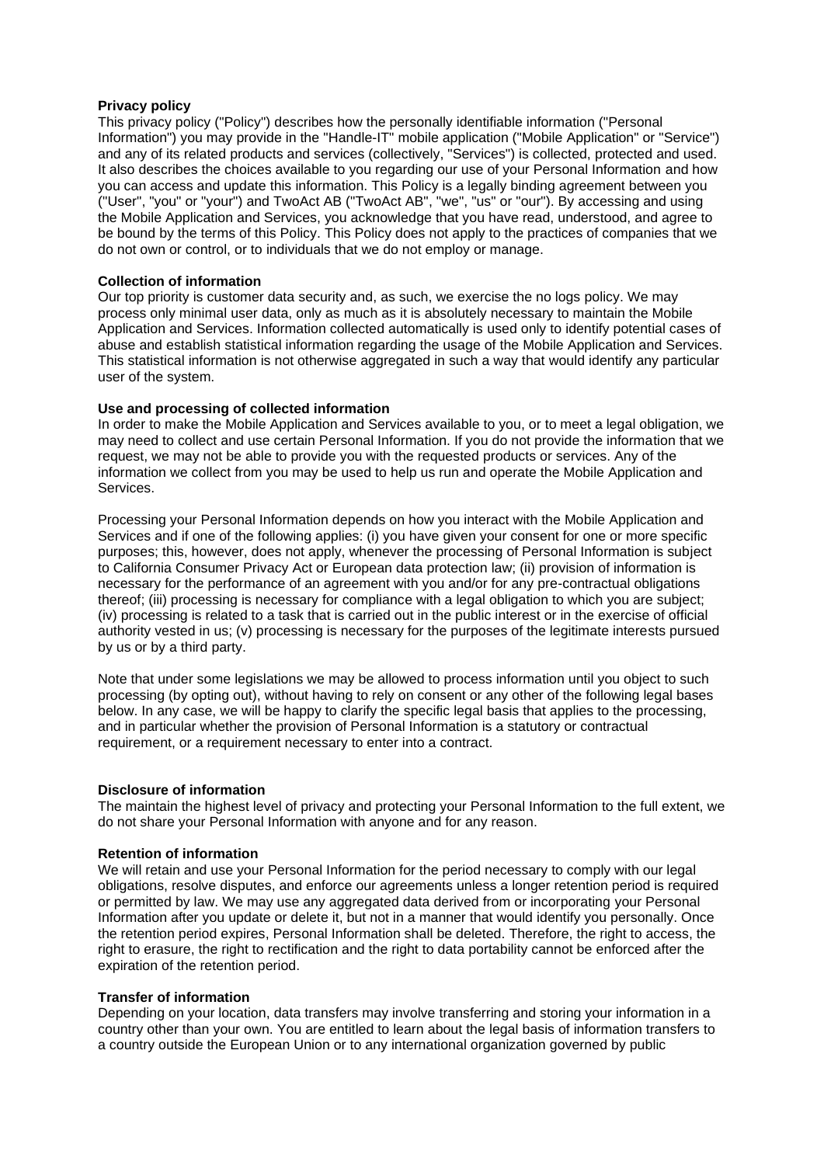#### **Privacy policy**

This privacy policy ("Policy") describes how the personally identifiable information ("Personal Information") you may provide in the "Handle-IT" mobile application ("Mobile Application" or "Service") and any of its related products and services (collectively, "Services") is collected, protected and used. It also describes the choices available to you regarding our use of your Personal Information and how you can access and update this information. This Policy is a legally binding agreement between you ("User", "you" or "your") and TwoAct AB ("TwoAct AB", "we", "us" or "our"). By accessing and using the Mobile Application and Services, you acknowledge that you have read, understood, and agree to be bound by the terms of this Policy. This Policy does not apply to the practices of companies that we do not own or control, or to individuals that we do not employ or manage.

#### **Collection of information**

Our top priority is customer data security and, as such, we exercise the no logs policy. We may process only minimal user data, only as much as it is absolutely necessary to maintain the Mobile Application and Services. Information collected automatically is used only to identify potential cases of abuse and establish statistical information regarding the usage of the Mobile Application and Services. This statistical information is not otherwise aggregated in such a way that would identify any particular user of the system.

# **Use and processing of collected information**

In order to make the Mobile Application and Services available to you, or to meet a legal obligation, we may need to collect and use certain Personal Information. If you do not provide the information that we request, we may not be able to provide you with the requested products or services. Any of the information we collect from you may be used to help us run and operate the Mobile Application and Services.

Processing your Personal Information depends on how you interact with the Mobile Application and Services and if one of the following applies: (i) you have given your consent for one or more specific purposes; this, however, does not apply, whenever the processing of Personal Information is subject to California Consumer Privacy Act or European data protection law; (ii) provision of information is necessary for the performance of an agreement with you and/or for any pre-contractual obligations thereof; (iii) processing is necessary for compliance with a legal obligation to which you are subject; (iv) processing is related to a task that is carried out in the public interest or in the exercise of official authority vested in us; (v) processing is necessary for the purposes of the legitimate interests pursued by us or by a third party.

Note that under some legislations we may be allowed to process information until you object to such processing (by opting out), without having to rely on consent or any other of the following legal bases below. In any case, we will be happy to clarify the specific legal basis that applies to the processing, and in particular whether the provision of Personal Information is a statutory or contractual requirement, or a requirement necessary to enter into a contract.

#### **Disclosure of information**

The maintain the highest level of privacy and protecting your Personal Information to the full extent, we do not share your Personal Information with anyone and for any reason.

#### **Retention of information**

We will retain and use your Personal Information for the period necessary to comply with our legal obligations, resolve disputes, and enforce our agreements unless a longer retention period is required or permitted by law. We may use any aggregated data derived from or incorporating your Personal Information after you update or delete it, but not in a manner that would identify you personally. Once the retention period expires, Personal Information shall be deleted. Therefore, the right to access, the right to erasure, the right to rectification and the right to data portability cannot be enforced after the expiration of the retention period.

#### **Transfer of information**

Depending on your location, data transfers may involve transferring and storing your information in a country other than your own. You are entitled to learn about the legal basis of information transfers to a country outside the European Union or to any international organization governed by public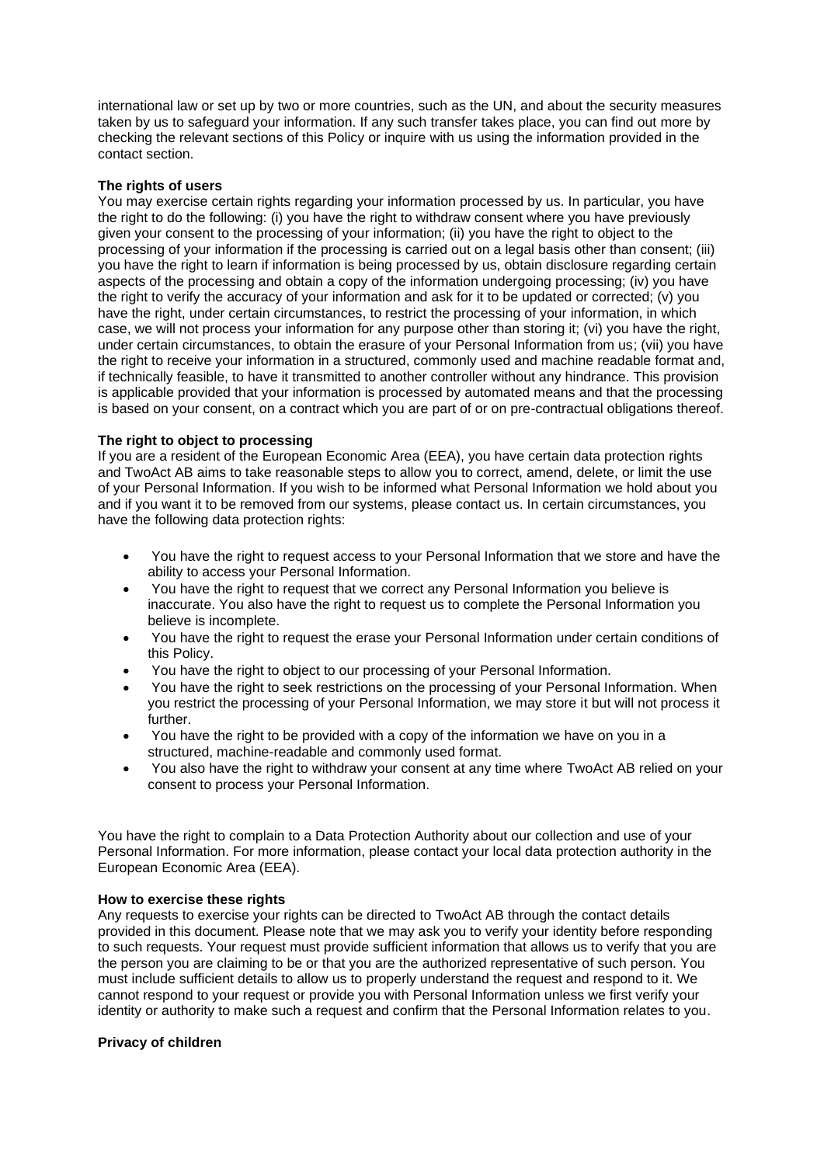international law or set up by two or more countries, such as the UN, and about the security measures taken by us to safeguard your information. If any such transfer takes place, you can find out more by checking the relevant sections of this Policy or inquire with us using the information provided in the contact section.

# **The rights of users**

You may exercise certain rights regarding your information processed by us. In particular, you have the right to do the following: (i) you have the right to withdraw consent where you have previously given your consent to the processing of your information; (ii) you have the right to object to the processing of your information if the processing is carried out on a legal basis other than consent; (iii) you have the right to learn if information is being processed by us, obtain disclosure regarding certain aspects of the processing and obtain a copy of the information undergoing processing; (iv) you have the right to verify the accuracy of your information and ask for it to be updated or corrected; (v) you have the right, under certain circumstances, to restrict the processing of your information, in which case, we will not process your information for any purpose other than storing it; (vi) you have the right, under certain circumstances, to obtain the erasure of your Personal Information from us; (vii) you have the right to receive your information in a structured, commonly used and machine readable format and, if technically feasible, to have it transmitted to another controller without any hindrance. This provision is applicable provided that your information is processed by automated means and that the processing is based on your consent, on a contract which you are part of or on pre-contractual obligations thereof.

# **The right to object to processing**

If you are a resident of the European Economic Area (EEA), you have certain data protection rights and TwoAct AB aims to take reasonable steps to allow you to correct, amend, delete, or limit the use of your Personal Information. If you wish to be informed what Personal Information we hold about you and if you want it to be removed from our systems, please contact us. In certain circumstances, you have the following data protection rights:

- You have the right to request access to your Personal Information that we store and have the ability to access your Personal Information.
- You have the right to request that we correct any Personal Information you believe is inaccurate. You also have the right to request us to complete the Personal Information you believe is incomplete.
- You have the right to request the erase your Personal Information under certain conditions of this Policy.
- You have the right to object to our processing of your Personal Information.
- You have the right to seek restrictions on the processing of your Personal Information. When you restrict the processing of your Personal Information, we may store it but will not process it further.
- You have the right to be provided with a copy of the information we have on you in a structured, machine-readable and commonly used format.
- You also have the right to withdraw your consent at any time where TwoAct AB relied on your consent to process your Personal Information.

You have the right to complain to a Data Protection Authority about our collection and use of your Personal Information. For more information, please contact your local data protection authority in the European Economic Area (EEA).

# **How to exercise these rights**

Any requests to exercise your rights can be directed to TwoAct AB through the contact details provided in this document. Please note that we may ask you to verify your identity before responding to such requests. Your request must provide sufficient information that allows us to verify that you are the person you are claiming to be or that you are the authorized representative of such person. You must include sufficient details to allow us to properly understand the request and respond to it. We cannot respond to your request or provide you with Personal Information unless we first verify your identity or authority to make such a request and confirm that the Personal Information relates to you.

# **Privacy of children**